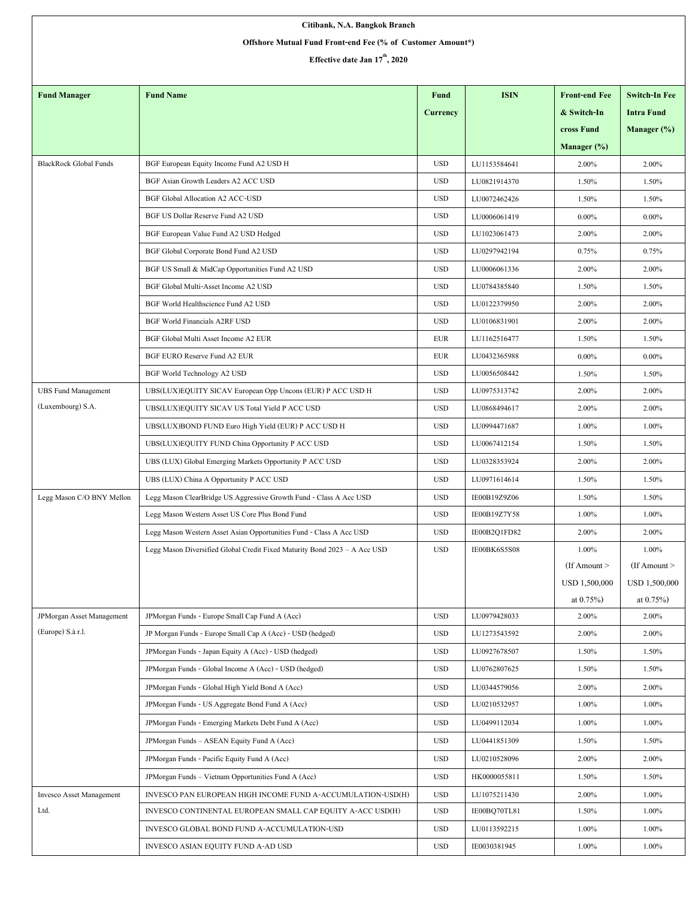| Citibank, N.A. Bangkok Branch                              |                                                                                                                       |            |              |                          |                         |  |  |  |  |  |
|------------------------------------------------------------|-----------------------------------------------------------------------------------------------------------------------|------------|--------------|--------------------------|-------------------------|--|--|--|--|--|
| Offshore Mutual Fund Front-end Fee (% of Customer Amount*) |                                                                                                                       |            |              |                          |                         |  |  |  |  |  |
| Effective date Jan 17 <sup>th</sup> , 2020                 |                                                                                                                       |            |              |                          |                         |  |  |  |  |  |
|                                                            |                                                                                                                       |            |              |                          |                         |  |  |  |  |  |
| <b>Fund Manager</b>                                        | <b>Fund Name</b>                                                                                                      | Fund       | <b>ISIN</b>  | <b>Front-end Fee</b>     | <b>Switch-In Fee</b>    |  |  |  |  |  |
|                                                            |                                                                                                                       | Currency   |              | & Switch-In              | <b>Intra Fund</b>       |  |  |  |  |  |
|                                                            |                                                                                                                       |            |              | cross Fund               | Manager $(\%)$          |  |  |  |  |  |
|                                                            |                                                                                                                       |            |              | Manager $(\%)$           |                         |  |  |  |  |  |
| <b>BlackRock Global Funds</b>                              | BGF European Equity Income Fund A2 USD H                                                                              | <b>USD</b> | LU1153584641 | 2.00%                    | 2.00%                   |  |  |  |  |  |
|                                                            | BGF Asian Growth Leaders A2 ACC USD                                                                                   | <b>USD</b> | LU0821914370 | 1.50%                    | 1.50%                   |  |  |  |  |  |
|                                                            | <b>BGF Global Allocation A2 ACC-USD</b>                                                                               | <b>USD</b> | LU0072462426 | 1.50%                    | 1.50%                   |  |  |  |  |  |
|                                                            | BGF US Dollar Reserve Fund A2 USD                                                                                     | <b>USD</b> | LU0006061419 | $0.00\%$                 | $0.00\%$                |  |  |  |  |  |
|                                                            | BGF European Value Fund A2 USD Hedged                                                                                 | <b>USD</b> | LU1023061473 | 2.00%                    | 2.00%                   |  |  |  |  |  |
|                                                            | BGF Global Corporate Bond Fund A2 USD                                                                                 | <b>USD</b> | LU0297942194 | 0.75%                    | 0.75%                   |  |  |  |  |  |
|                                                            | BGF US Small & MidCap Opportunities Fund A2 USD                                                                       | <b>USD</b> | LU0006061336 | 2.00%                    | 2.00%                   |  |  |  |  |  |
|                                                            | BGF Global Multi-Asset Income A2 USD                                                                                  | <b>USD</b> | LU0784385840 | 1.50%                    | 1.50%                   |  |  |  |  |  |
|                                                            | BGF World Healthscience Fund A2 USD                                                                                   | <b>USD</b> | LU0122379950 | 2.00%                    | 2.00%                   |  |  |  |  |  |
|                                                            | <b>BGF World Financials A2RF USD</b>                                                                                  | <b>USD</b> | LU0106831901 | 2.00%                    | 2.00%                   |  |  |  |  |  |
|                                                            | BGF Global Multi Asset Income A2 EUR                                                                                  | <b>EUR</b> | LU1162516477 | 1.50%                    | 1.50%                   |  |  |  |  |  |
|                                                            | BGF EURO Reserve Fund A2 EUR                                                                                          | EUR        | LU0432365988 | $0.00\%$                 | $0.00\%$                |  |  |  |  |  |
|                                                            | BGF World Technology A2 USD                                                                                           | <b>USD</b> | LU0056508442 | 1.50%                    | 1.50%                   |  |  |  |  |  |
| <b>UBS Fund Management</b>                                 | UBS(LUX)EQUITY SICAV European Opp Uncons (EUR) P ACC USD H                                                            | <b>USD</b> | LU0975313742 | 2.00%                    | 2.00%                   |  |  |  |  |  |
| (Luxembourg) S.A.                                          | UBS(LUX)EQUITY SICAV US Total Yield P ACC USD                                                                         | <b>USD</b> | LU0868494617 | 2.00%                    | 2.00%                   |  |  |  |  |  |
|                                                            | UBS(LUX)BOND FUND Euro High Yield (EUR) P ACC USD H                                                                   | <b>USD</b> | LU0994471687 | 1.00%                    | 1.00%                   |  |  |  |  |  |
|                                                            | UBS(LUX)EQUITY FUND China Opportunity P ACC USD                                                                       | <b>USD</b> | LU0067412154 | 1.50%                    | 1.50%                   |  |  |  |  |  |
|                                                            | UBS (LUX) Global Emerging Markets Opportunity P ACC USD                                                               | <b>USD</b> | LU0328353924 | 2.00%                    | 2.00%                   |  |  |  |  |  |
|                                                            | UBS (LUX) China A Opportunity P ACC USD                                                                               | <b>USD</b> | LU0971614614 | 1.50%                    | 1.50%                   |  |  |  |  |  |
|                                                            |                                                                                                                       | <b>USD</b> | IE00B19Z9Z06 |                          |                         |  |  |  |  |  |
| Legg Mason C/O BNY Mellon                                  | Legg Mason ClearBridge US Aggressive Growth Fund - Class A Acc USD<br>Legg Mason Western Asset US Core Plus Bond Fund | <b>USD</b> | IE00B19Z7Y58 | 1.50%<br>1.00%           | 1.50%<br>1.00%          |  |  |  |  |  |
|                                                            |                                                                                                                       |            |              |                          |                         |  |  |  |  |  |
|                                                            | Legg Mason Western Asset Asian Opportunities Fund - Class A Acc USD                                                   | <b>USD</b> | IE00B2Q1FD82 | 2.00%                    | 2.00%                   |  |  |  |  |  |
|                                                            | Legg Mason Diversified Global Credit Fixed Maturity Bond 2023 - A Acc USD                                             | <b>USD</b> | IE00BK6S5S08 | 1.00%<br>$If$ Amount $>$ | 1.00%<br>(If Amount $>$ |  |  |  |  |  |
|                                                            |                                                                                                                       |            |              | <b>USD 1,500,000</b>     | USD 1,500,000           |  |  |  |  |  |
|                                                            |                                                                                                                       |            |              | at $0.75%$               | at $0.75\%$ )           |  |  |  |  |  |
| JPMorgan Asset Management                                  | JPMorgan Funds - Europe Small Cap Fund A (Acc)                                                                        | <b>USD</b> | LU0979428033 | 2.00%                    | 2.00%                   |  |  |  |  |  |
| (Europe) S.à r.l.                                          | JP Morgan Funds - Europe Small Cap A (Acc) - USD (hedged)                                                             | <b>USD</b> | LU1273543592 | 2.00%                    | 2.00%                   |  |  |  |  |  |
|                                                            | JPMorgan Funds - Japan Equity A (Acc) - USD (hedged)                                                                  | <b>USD</b> | LU0927678507 | 1.50%                    | 1.50%                   |  |  |  |  |  |
|                                                            | JPMorgan Funds - Global Income A (Acc) - USD (hedged)                                                                 | <b>USD</b> | LU0762807625 | 1.50%                    | 1.50%                   |  |  |  |  |  |
|                                                            | JPMorgan Funds - Global High Yield Bond A (Acc)                                                                       | <b>USD</b> | LU0344579056 | 2.00%                    | 2.00%                   |  |  |  |  |  |
|                                                            | JPMorgan Funds - US Aggregate Bond Fund A (Acc)                                                                       | <b>USD</b> | LU0210532957 | 1.00%                    | 1.00%                   |  |  |  |  |  |
|                                                            |                                                                                                                       |            | LU0499112034 |                          |                         |  |  |  |  |  |
|                                                            | JPMorgan Funds - Emerging Markets Debt Fund A (Acc)                                                                   | <b>USD</b> |              | 1.00%                    | 1.00%                   |  |  |  |  |  |
|                                                            | JPMorgan Funds - ASEAN Equity Fund A (Acc)                                                                            | <b>USD</b> | LU0441851309 | 1.50%                    | 1.50%                   |  |  |  |  |  |
|                                                            | JPMorgan Funds - Pacific Equity Fund A (Acc)                                                                          | <b>USD</b> | LU0210528096 | 2.00%                    | 2.00%                   |  |  |  |  |  |
|                                                            | JPMorgan Funds - Vietnam Opportunities Fund A (Acc)                                                                   | <b>USD</b> | HK0000055811 | 1.50%                    | 1.50%                   |  |  |  |  |  |
| Invesco Asset Management                                   | INVESCO PAN EUROPEAN HIGH INCOME FUND A-ACCUMULATION-USD(H)                                                           | <b>USD</b> | LU1075211430 | 2.00%                    | 1.00%                   |  |  |  |  |  |
| Ltd.                                                       | INVESCO CONTINENTAL EUROPEAN SMALL CAP EQUITY A-ACC USD(H)                                                            | <b>USD</b> | IE00BQ70TL81 | 1.50%                    | 1.00%                   |  |  |  |  |  |
|                                                            | INVESCO GLOBAL BOND FUND A-ACCUMULATION-USD                                                                           | <b>USD</b> | LU0113592215 | 1.00%                    | 1.00%                   |  |  |  |  |  |
|                                                            | INVESCO ASIAN EQUITY FUND A-AD USD                                                                                    | <b>USD</b> | IE0030381945 | 1.00%                    | 1.00%                   |  |  |  |  |  |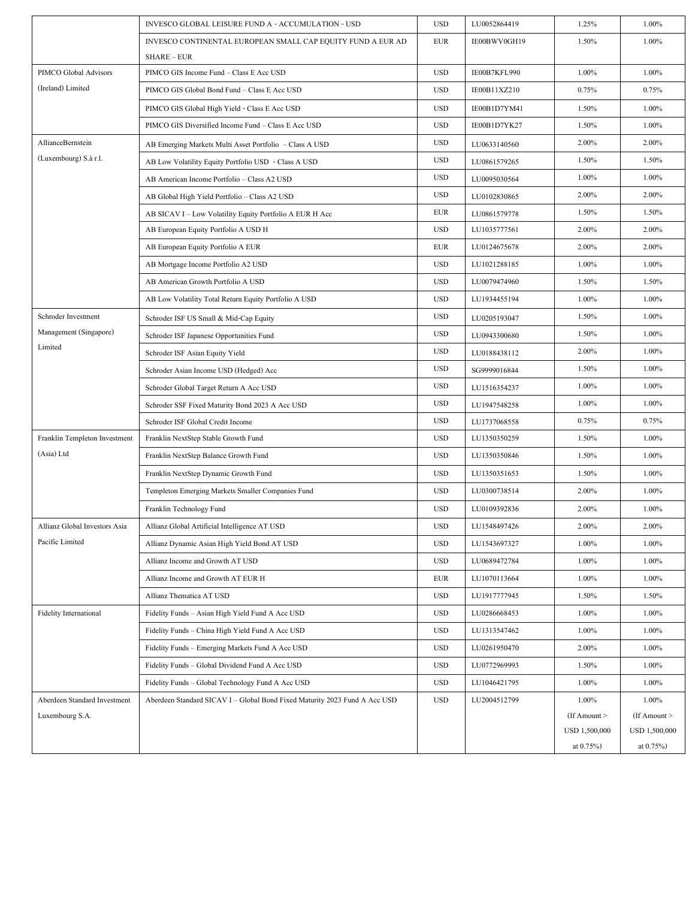|                               | INVESCO GLOBAL LEISURE FUND A - ACCUMULATION - USD                         | <b>USD</b> | LU0052864419 | 1.25%             | 1.00%             |
|-------------------------------|----------------------------------------------------------------------------|------------|--------------|-------------------|-------------------|
|                               | INVESCO CONTINENTAL EUROPEAN SMALL CAP EQUITY FUND A EUR AD                | <b>EUR</b> | IE00BWV0GH19 | 1.50%             | 1.00%             |
|                               | <b>SHARE – EUR</b>                                                         |            |              |                   |                   |
| PIMCO Global Advisors         | PIMCO GIS Income Fund - Class E Acc USD                                    | <b>USD</b> | IE00B7KFL990 | 1.00%             | 1.00%             |
| (Ireland) Limited             | PIMCO GIS Global Bond Fund - Class E Acc USD                               | <b>USD</b> | IE00B11XZ210 | 0.75%             | 0.75%             |
|                               | PIMCO GIS Global High Yield - Class E Acc USD                              | <b>USD</b> | IE00B1D7YM41 | 1.50%             | 1.00%             |
|                               | PIMCO GIS Diversified Income Fund - Class E Acc USD                        | <b>USD</b> | IE00B1D7YK27 | 1.50%             | 1.00%             |
| AllianceBernstein             | AB Emerging Markets Multi Asset Portfolio - Class A USD                    | <b>USD</b> | LU0633140560 | 2.00%             | 2.00%             |
| (Luxembourg) S.à r.l.         | AB Low Volatility Equity Portfolio USD - Class A USD                       | <b>USD</b> | LU0861579265 | 1.50%             | 1.50%             |
|                               | AB American Income Portfolio - Class A2 USD                                | <b>USD</b> | LU0095030564 | 1.00%             | 1.00%             |
|                               | AB Global High Yield Portfolio - Class A2 USD                              | <b>USD</b> | LU0102830865 | 2.00%             | 2.00%             |
|                               | AB SICAV I - Low Volatility Equity Portfolio A EUR H Acc                   | <b>EUR</b> | LU0861579778 | 1.50%             | 1.50%             |
|                               | AB European Equity Portfolio A USD H                                       | <b>USD</b> | LU1035777561 | 2.00%             | 2.00%             |
|                               | AB European Equity Portfolio A EUR                                         | <b>EUR</b> | LU0124675678 | 2.00%             | 2.00%             |
|                               | AB Mortgage Income Portfolio A2 USD                                        | <b>USD</b> | LU1021288185 | 1.00%             | 1.00%             |
|                               | AB American Growth Portfolio A USD                                         | <b>USD</b> | LU0079474960 | 1.50%             | 1.50%             |
|                               | AB Low Volatility Total Return Equity Portfolio A USD                      | <b>USD</b> | LU1934455194 | 1.00%             | 1.00%             |
| Schroder Investment           | Schroder ISF US Small & Mid-Cap Equity                                     | <b>USD</b> | LU0205193047 | 1.50%             | 1.00%             |
| Management (Singapore)        | Schroder ISF Japanese Opportunities Fund                                   | <b>USD</b> | LU0943300680 | 1.50%             | 1.00%             |
| Limited                       | Schroder ISF Asian Equity Yield                                            | <b>USD</b> | LU0188438112 | 2.00%             | 1.00%             |
|                               | Schroder Asian Income USD (Hedged) Acc                                     | <b>USD</b> | SG9999016844 | 1.50%             | 1.00%             |
|                               | Schroder Global Target Return A Acc USD                                    | <b>USD</b> | LU1516354237 | 1.00%             | 1.00%             |
|                               | Schroder SSF Fixed Maturity Bond 2023 A Acc USD                            | <b>USD</b> | LU1947548258 | 1.00%             | 1.00%             |
|                               | Schroder ISF Global Credit Income                                          | <b>USD</b> | LU1737068558 | 0.75%             | 0.75%             |
| Franklin Templeton Investment | Franklin NextStep Stable Growth Fund                                       | <b>USD</b> | LU1350350259 | 1.50%             | 1.00%             |
| (Asia) Ltd                    | Franklin NextStep Balance Growth Fund                                      | <b>USD</b> | LU1350350846 | 1.50%             | 1.00%             |
|                               | Franklin NextStep Dynamic Growth Fund                                      | <b>USD</b> | LU1350351653 | 1.50%             | 1.00%             |
|                               | Templeton Emerging Markets Smaller Companies Fund                          | <b>USD</b> | LU0300738514 | 2.00%             | 1.00%             |
|                               | Franklin Technology Fund                                                   | <b>USD</b> | LU0109392836 | 2.00%             | 1.00%             |
| Allianz Global Investors Asia | Allianz Global Artificial Intelligence AT USD                              | <b>USD</b> | LU1548497426 | 2.00%             | 2.00%             |
| Pacific Limited               | Allianz Dynamic Asian High Yield Bond AT USD                               | <b>USD</b> | LU1543697327 | 1.00%             | 1.00%             |
|                               | Allianz Income and Growth AT USD                                           | <b>USD</b> | LU0689472784 | 1.00%             | 1.00%             |
|                               | Allianz Income and Growth AT EUR H                                         | <b>EUR</b> | LU1070113664 | 1.00%             | 1.00%             |
|                               | Allianz Thematica AT USD                                                   | <b>USD</b> | LU1917777945 | 1.50%             | 1.50%             |
| <b>Fidelity International</b> | Fidelity Funds - Asian High Yield Fund A Acc USD                           | <b>USD</b> | LU0286668453 | 1.00%             | 1.00%             |
|                               | Fidelity Funds - China High Yield Fund A Acc USD                           | <b>USD</b> | LU1313547462 | 1.00%             | 1.00%             |
|                               | Fidelity Funds - Emerging Markets Fund A Acc USD                           | <b>USD</b> | LU0261950470 | 2.00%             | 1.00%             |
|                               | Fidelity Funds - Global Dividend Fund A Acc USD                            | <b>USD</b> | LU0772969993 | 1.50%             | 1.00%             |
|                               | Fidelity Funds - Global Technology Fund A Acc USD                          | <b>USD</b> | LU1046421795 | 1.00%             | 1.00%             |
| Aberdeen Standard Investment  | Aberdeen Standard SICAV I - Global Bond Fixed Maturity 2023 Fund A Acc USD | <b>USD</b> | LU2004512799 | 1.00%             | 1.00%             |
| Luxembourg S.A.               |                                                                            |            |              | $($ If Amount $>$ | $($ If Amount $>$ |
|                               |                                                                            |            |              | USD 1,500,000     | USD 1,500,000     |
|                               |                                                                            |            |              | at $0.75%$        | at $0.75%$        |